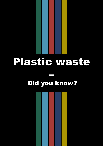# Plastic waste

## – Did you know?

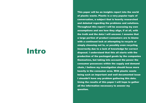## Intro

This paper will be an insights report into the world of plastic waste. Plastic is a very popular topic of conversation, a subject that is heavily researched and debated regarding the problems and solutions. Throughout this report I will be assessing my own assumptions and see how they align, if at all, with the truth and the data I will uncover. I assume that a large portion of product consumers are to blame with a continued lack at attempting to recycle or simply choosing not to, or possibly even recycling incorrectly due to a lack of knowledge for correct disposal. I understand that this all starts with the production of the packaged goods by the companies themselves, but taking into account the power the consumer possesses within the supply and demand chain, I believe my investigation should focus more heavily in the consumer area. With plastic waste being such an important and well documented issue I shouldn't have any problem gathering this data. Using the results of this paper I will hope to gather all the information necessary to answer my question.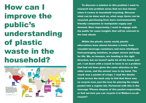To discover a solution to this problem I want to research into problem areas that are less known when it comes to household recycling. Discover what can be done such as, what ways items can be recycled, purchasing from more environmentally friendly companies to manipulate supply and demand. More importantly, I want to engage with the public for some insights that will be relevant to the task ahead.

Within the plastic waste world, plastic alternatives have almost become a trend, from reusable beverage containers and more intelligent food packaging solutions, to paper straws and bags for life. We, as humans, are heading in the right direction, but we haven't quite hit all the bases just yet. I sat down with a snack to hone in on a problem that had not been given the same attention as the other areas, and the answer was in my hand. The snack was a packet of crisps. I read the details listed across the back only to find that there was no recycle icon, just the icon for placing the empty packet into a regular bin. Partnered with this is the message "Please dispose of this packet responsibly, or find out how you can recycle it at Walkers.co.uk/ recycle".

# How can I improve the public's understanding of plastic waste in the household?

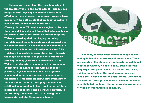I began my research on the recycle portion of the Walkers website and came across Terracycle, a crisps packet recycling scheme that Walkers is offering to its customers. It operates through a large number of "drop off points that are located within 4 miles of 80% of the homes in the UK".

(Terracycle.com). Through more digging to discover the origin of this scheme I found that it began due to the media storm of the public on twitter, targeting Walkers regarding their packaging not being recyclable, and the only viable way of disposal was via general waste. This is because the packets are made of a combination of fused plastics and foils which are impossible to separate entirely through the recycling process. The public followed up by sending the empty packets in envelopes to the Walkers headquarters in Leicester to prove a point. By flooding the headquarters with all of these packets, they would receive the message that a similar and larger scale scenario is happening at the landfills. This example shows how much power the consumer has with the supply and demand relationship. A problem I discovered is that of the 4 billion packets created and distributed annually in the UK, only 3million of those are ending their journey through the Terracycle scheme.



The rest, because they cannot be recycled will end up in landfills, or worse pollute our seas. There are clearly still problems, even though the public got what they wanted, it goes to show that either the majority of the public don't care about this cause, ruining the efforts of the small percentage that made their voices heard on social media. Or Walkers created the Terracycle scheme to silence the media negativity but made no attempt at raising awareness for the scheme through a campaign.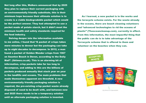Not long after this, Walkers announced that by 2025 they plan to replace their current packaging with an environmentally friendly substitute, this is their minimum hope because their ultimate solution is to create is a viable biodegradable packet which would be the perfect answer. They had attempted to use a packet made of potato starch, but it didn't meet the minimum health and safety standards required for the food industry.

Delving deeper into the information available to me online, I found that "A packet of crisps takes mere minutes to devour but the packaging can take up to eight decades to decompose. In 2012, a man found a packet of Golden Wonder crisps from 1967 on Saunton Beach in Devon, according to the Daily Mail". (Ibtimes.co.uk). This is an alarming bit of information, crisp packets take far too long to decompose, and adding to this are the billions of packets produced annually that stack year on year in the landfills and oceans. The main problems that made themselves apparent are threefold. A new environmentally friendly packaging solution is required, the pre-existing crisp packet waste already disposed of need to be dealt with, and between now and 2025 there needs to be a temporary solution until an alternate packaging solution is invented.

As I learned, a new packet is in the works and the teracycle scheme exists. For the waste already in the oceans, there are beach cleaning volunteers and "advanced technologies to rid the oceans of plastic" (Theoceancleanup.com), currently in effect. From this information, the most impactful thing that the public can do is to take advantage of the Terracycle scheme that is offered to them and volunteer on the beaches when they can.

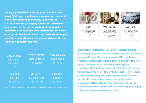During my research of Terracycle I came across Loop, "Shifting away from environmentally harmful, single-use product packaging, Loop creates sustainable new packaging solutions. Customers can enjoy their favourite products from popular consumer brands in refillable containers, delivered directly to their home. Loop then provides an empty container collection service and product refills as required". (Loopstore.com).



Enjoy Shop products from trusted brands, delivered to you in upgraded reusable packaging.

No need to trash, recycle, or clean - simply place your used products back into the Loop Tote and schedule a free pick up from your home.

| <b>78%</b> of plastic |
|-----------------------|
| packaging is          |
| recovered             |
| [3]                   |

74% of plastic drinks bottles are recycled

**70% of all** plastic is recovered  $[5]$ 

**59%** of all plastic bottles are collected  $[2]$ 

and bleach bottles, etc.

46% of plastic packaging is recycled

> **31% of all** plastic is recycled

\*includes all plastics used in construction and \*includes all plastic bottles, such as shampoo \*figure immediately above includes the whole of Europe

 Loop offers alternative, reusable containers and packaging solutions that will inevitably be sent back to loop after use by the consumer. The container will be cleaned thoroughly and reused and sent out again, creating a sustainable loop of goods transportation and consumption. The benefit of what this company is offering so far are solutions to more difficult packaging that would normally be difficult to recycle such as ice cream containers and shampoo bottles. But the downsides are that they haven't branched into the more necessary packaging solutions, such as those for crisps.



### **We Pick Up**



### **We Refill**

Loop hygienically cleans and replenishes what you returned, so you never run out of your favorite products.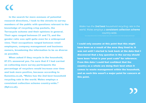In the search for more avenues of potential research directions, I took to the streets to survey members of the public with questions relevant to the knowledge of recycling crisp packets, the Terracycle scheme and their opinions in general. Their ages ranged between 21 and 73, and the gender ratio was split quite even for a widespread view. Their occupations ranged between retail employees, company management and business owners, broadening the information to be as diverse as possible. "

When asked if they recycle in the household, 87.5% answered yes. I'm sure that if I had carried on collecting more survey participants the percentage of recyclers would increase over time and look more positive, because according to Eunomia.co.uk, "Wales has the 2nd best household recycling rate in the world. Wales employs a consistent collection scheme country-wide." (Bpf.co.uk).

Wales has the 2nd best household recycling rate in the world. Wales employs a consistent collection scheme country-wide.

I could only assume at this point that this might have been as a result of the area they lived in. It was not until I started to look back at the data that I discovered that a key question in the survey should have been "what is your post code" for reference. From this data I could feel confident that the country as a whole are doing their best when it comes to waste management within the household, and as such this wasn't a major point for concern at this point.

.<br>Irce: https://www.eunomia.co.uk/media\_link/global-citizen-wales-is-second-best-in-the-world-at-recycling-household-waste/

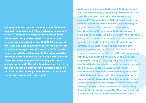My next question caused some quizzical faces and comical responses, and a few participants seemed to know where this survey would be taking them. I asked them "Do you eat crisps?", and for some reason I was surprised to find that 100% answered yes, with one person adding "You should never trust a person who says they don't eat crisps!" It is safe to say that whatever happens to the crisp industry, it seems the whole of the UK will be involved. I'm sure there are a few people in the country who don't partake in the cult like crisp kingdom where we live, but considering a smart looking, random person on the streets told me they shouldn't be trusted, I will

try not to worry about it too much.

Building up to the inevitable point that my survey was heading towards, the next question on the list was "How do you dispose of the empty crisp packets?" This resulted in 75% of people throwing them into general waste and the rest choosing to recycle. This paired well with the follow up question asking if they knew that crisp packets were not recyclable, where 50% answered that they didn't, 48.75% said that they did and the final 1.25% thought that only certain types of packets were actually recyclable. Cross comparing the two previous questions, of the 75% that dispose of crisp packets through general waste, 50% of them knew that they could not be recycled. Of the 25% that dispose of through recycling, they too had 50% of people with the knowledge that crisp packets could not be recycled. This is quite an alarming combination of answers, demonstrating that there is definitely a problem with the communication of the important information that the packets in fact cannot be recycled, resulting in a large amount of people confused and unaware of how to properly dispose of this waste correctly. This was definitely a point of interest to come back to in the future.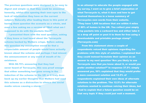The previous questions were designed to be easy to digest and simple so that they could be answered honestly, whilst also opening their own eyes to the lack of information they have on the current subject. Naturally after leading them to this point of having them question the scenario as a whole, and even a few asking me a version of "Well what am I supposed to do with the packets then?"

I presented them with the next question, asking if they knew or had heard about the Terracycle scheme backed by Walkers crisps. Before asking this question my assumption would be that a respectable amount of people would have actually known about the scheme and perhaps I had missed the announcement or any word of mouth of its existence.

With 98.75% answering that they had never heard of Terracycle, this was proof enough that either something had gone wrong in the induction of the scheme to the UK or it truly does back up my earlier thoughts that Walkers had used this scheme as a distraction to silence the social media voices causing a storm.

In an attempt to educate the people engaged with my survey, I went on to give a brief explanation of what Terracycle is, what it does and how to get involved themselves in a loose summary of Terracycles own words from their website. "They have 1,600 locations that are within 4 miles of 80% of homes in the UK. You collect your empty crisp packets into a carboard box and either take it to a drop off point or post it to them for free using a downloadable and printable postage stamp". (Terracycle.com)

From this statement alone a couple of respondents voiced their opinions regarding the problems with this style of solution. I explained that they could instead formulate their opinion as an answer to my next question "Are you likely to use Terracycle now that you know about it, or would you prefer another solution?" In response 37.5% simply answered yes, 50% explained that they would prefer a more convenient solution and 12.5% of respondents explained their own ideas of alternate solutions to the problem. The 12.5% for alternate solutions wanted to continue voicing their ideas, but I had to explain that a future question would be on that very topic if they could just wait a moment.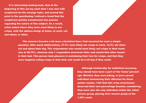It is interesting looking back, that at the beginning of this survey each time I was met with scepticism for the strange topic, and around this point in the questioning I noticed a trend that the scepticism quickly transformed into passion regarding the nature of this subject. As a result, when asked where they were most likely to eat crisps, with the options being: at home, at work, out and about, or other.



The answers became a lot more calculated than I had assumed for such a simple question. After quick deliberations, 37.5% most likely ate crisps in work, 12.5% ate them out and about their day. The respondents who would most likely eat crisps in their home was at 48.75%, whereas only 1 respondent answered other, and stated that other meant in their bed. This person took pleasure in exclaiming their love for crisps, and that they were happiest eating crisps in their bed, and would do it all day if they could.



Although technically, for statistical accuracy, they should have been a part of the 'home' percent age. Whether they were joking, or just a proud individual announcing their affection for these potato snacks, I felt that this crisp connoisseur deserved their own percentage bracket, considering they were also the only individual within the 'other' answer group, placing their answer group at the 1.25% mark.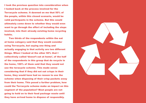I took the previous question into consideration when I looked back at the process involved for the Terracycle scheme. It dawned on me that 50% of the people, within this closed scenario, would be valid participants in the scheme. But this would ultimately come down to whether they would even want to go through the effort of including the steps involved, into their already existing home recycling habits.

Two thirds of the respondents within the eat at home category said that they would consider using Terracycle, but saying one thing and actually engaging in that activity are two different things. When I looked at the other 50% that I collectively called 'doesn't eat at home', of the half of the respondents in this group that do recycle in the home, 100% of them said that they would not use the teracycle scheme. This made sense considering that if they did not eat crisps in their home, they would have had no reason to use the scheme when disposing of their crisp packets away from their home. This posed a further problem, how could the Terracycle scheme make an impact on this segment of the population? Most people are not going to hold on to their food package waste until they have arrived home to dispose of responsibly.

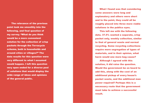What I found was that considering some answers were long and explanatory and others were short and to the point, they could all be roughly placed into three more viable solutions in the publics eyes. This left me with the following data. 37.5% wanted a separate, crisp packet only, weekly collection, similar to that of general waste and normal recycling. Some recycling collections require more segregation of types of materials, and in their opinion, what harm would one more bag cause? Although I agreed with this solution, it did raise the question. Would the government be on board to add this, along with the cost of an additional pickup of every house's packet waste, and the additional man power required? Perhaps this is a necessary route that the government must take to achieve a successful result.

The relevance of the previous point took me smoothly into the following, and final question of my survey. "What do you think would be a more convenient solution for the collection of crisp packets through the Terracycle scheme, both in households and around cities or villages?" The data results for this question were very different to what I assumed would happen. I left this question very open ended for a diverse pool of solutions that would display the wide range of ideas and opinions of the general public.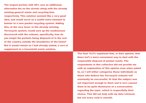The final 12.5% explained that, in their opinion, that there isn't a more convenient way to deal with the responsible disposal of packet waste. The respondents in this collective did not provide me with an explanation of this opinion even when asked to, so I will either categorise these individuals as those who believe the Terracycle scheme will eventually be successful. Or that the subject was not important enough to them and in turn caused them to be quite dismissive of a conversation regarding the topic, which is respectfully their choice. This did not help with my data retrieval, but not every road is smooth.

The largest portion with 50% was an additional, alternative bin on the streets along with the already existing general waste and recycling bins respectively. This solution seemed like a very good idea, and would serve as a useful extra element to bolster to a new packet recycling system. Adding this, at the very least, to the already existing Terracycle system, would sure up the weaknesses discovered with the scheme, specifically, how do you target the packets being disposed of in the rest of the country outside the boundaries of the home? But it would remain as I had already stated, a sort of supplement to a household waste solution.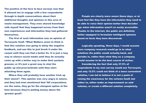The positive of the face to face surveys was that it allowed me to engage with a few respondents through in depth conversations about their additional thoughts and opinions in this area of waste management. They even shared knowledge with myself that they happened across from their own experiences and information they had gathered themselves.

The first of such information was an opinion of Terracycle itself. "What Walkers seem to think is that this solution was going to delay the negative feedback, and use this to just brush it under the carpet until they can find a better fix. It is just a lazy way to silence social media until they do actually come up with a better way to make their packets greener, or it's just a great way to shut the public up and procrastinate until they start attacking them again.

Where they will probably have another trick up their sleeve". This opinion was very angry in nature, and they had even mentioned that "All corporations are the same, they go for the cheapest option at the time because they're putting money above the \greater good".

People are clearly more aware these days, or at least feel like they have the information they need to be able to voice their opinion better than decades ago when information wasn't so easily accessible. Thanks to the internet, the public are definitely better equipped to formulate intelligent opinions based on facts they have discovered.

Logically speaking, these days, I would assume more company research would go in to what solutions the public would actually back, and partake in, rather than what they as a company would assume to be the best course of action. Considering the fact that only 37.5% of respondents in my own survey would use Terracycle, and only 12.5% could not think of a more convenient solution, I am led to believe it is not a point of raising the awareness for the scheme itself, but rather to, either make an improvement on said

scheme, or create a different solution completely.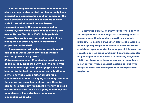During the survey, on many occasions, a few of the respondents asked why I was focusing on crisp packets specifically and not plastic as a whole problem. I explained that other plastic packaging is at least partly recyclable, and also have alternate container replacements. An example of this was that reusable bottles exist, and most beverages can also be packaged in cans which are infinitely recyclable. I felt that there have been advances is replacing a lot of currently used product packaging, but with crisps packets the development of change seems neglected.

Another respondent mentioned that he had read about a compostable packet that had already been invented by a company, he could not remember the name correctly, but gave me something to work with, I took what he told me and began researching into it. It was a company called Futamura, they made a specialist packaging film named NatureFlex. It is 100% biodegradable. "NatureFlex grades are very stable and will not biodegrade or show any loss in mechanical properties on the shelf.

Biodegradation will only be initiated in a soil, compost or waste-water environment where micro-organisms are present." (Futamuragroup.com). If packaging solutions such as this already exist then why must Walkers wait until 2025 to change their packaging? I was not ignorant to the fact that changing and adapting to a whole new packaging material requires a complete overhaul of packaging machinery, but with the means and opportunity already out there to commit to a more environmentally friendly packet, I did not understand why it was going to take 5 years to implement. They also have not given an explanation as to why.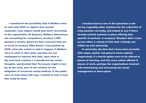I tracked back to one of the questions in the survey regarding other solutions for the collection of crisp packets currently, and looked to see if there already existed systems in place offering bins specific to packets. A company 'Glasdon' that I came across offers a variety of bins that I already see within my own university.

In university, the bins that I have seen currently offer paper, plastic and general waste options respectively. If a fourth option were to be offered in places of learning, and this extra option offered in places of work, perhaps the organisations involved with maintaining and overseeing the waste management in these place

I considered the possibility that if Walkers were to wait until 2025 to replace their packet materials, what impact would that have? According to the organisation 38 Degrees, Walkers themselves, not accounting for competitors, produce 7,000 packets a minute. Based on their research they are on track to produce 28bn plastic crisp packets by 2025, when the switch is said to happen. If Walkers were to stick to their plan, and they are not challenged to improve this date, then what is the next best solution. I contradicted my earlier thoughts, and decided that Terracycle might in fact be, at the least, part of the solution for the mitigation of excessive waste build-up. If the public were to meet them half way, I wanted to look at how this could be done.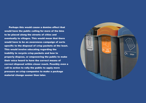Perhaps this would cause a domino effect that would have the public calling for more of the bins to be placed along the streets of cities and eventually to villages. This would mean that there would have to be an awareness campaign of sorts specific to the disposal of crisp packets at the least. This would involve educating regarding the inability to recycle crisp packets and how to properly dispose, or empowering the public to make their voice heard to have the correct means of correct disposal within closer reach. Possibly even a call to action to rally the public to apply more pressure on crisp companies to make a package material change sooner than later.

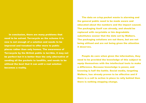In conclusion, there are many problems that need to be solved. Terracycle as the scheme it is now is not enough of a solution and needs to be improved and tweaked to offer more to public places rather than only homes. The awareness of Terracycle by the British public is terrible, it may not be perfect but it is better than the only alternative of sending all the packets to landfills, and needs to be utilised the best that it can until a real solution becomes a reality.

The data on crisp packet waste is alarming and the general public need to be made aware and educated about the numbers and the impact caused. The packaging itself can already, and should be replaced with recyclable or bio degradable substitutes sooner that the date set by Walkers. The packaging solutions are out there, but are not being utilised and are not being given the attention it deserves.

People do care when given the information, they need to be provided the knowledge of this subject to equip themselves with the intellectual tools to make a difference. Because knowledge is power, and knowing is half the battle. Social media, targeting Walkers, has already proven to be effective and if there is a call to action in place to rally behind then there is nothing stopping change.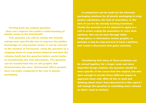A comparison can be made for the alternate packaging solutions for all plastic packaging to crisp packet substitutes, the lack of innovation, or the lack of use for the already existing inventions. Finally the question can be adapted to apply to a call to action urging the population to voice their opinions, this can be done through either infographics or informative motion graphic, or perhaps a step by step process to back a petition, and create a discussion that gains notoriety.

Considering that many of these problems can be solved together, for a larger scale and more impactful design solution, the question should be more specific to the cause than the original, but also open enough to include these different angles to approach them with. With all this in mind and thinking about what I have discovered in this report I will change the question to something more relevant to what I want to achieve.

Circling back my original question: – How can I improve the public's understanding of plastic waste in the household?

This question can still be similar but instead asking more specifically how to improve the publics knowledge of crisp packet waste. It can be relevant to the mention of Terracycle, using the question as a stepping stone to crisp packet disposal and then the scheme itself, but the question before works better at transitioning into that information. The question can be transformed into an info graphic that demonstrates the more detrimental effect packets have currently compared to the rest of plastic packaging.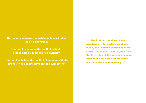The first two versions of the question only hit certain problems I found, and I wanted something more collective, so not to limit myself. The third iteration of the question is more open to the collective of problems I want to solve simultaneously.

How can I encourage the public to demand crisp packet innovation?

How can I encourage the public to adopt a responsible disposal of crisp packets?

How can I embolden the public to intervene with the impact crisp packets have on the environment?